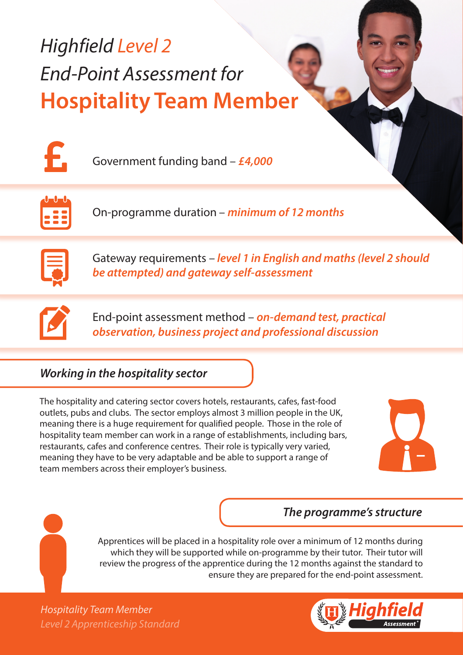# *Highfield Level 2 End-Point Assessment for* **Hospitality Team Member**



Government funding band – *£4,000*



On-programme duration – *minimum of 12 months*



Gateway requirements – *level 1 in English and maths (level 2 should be attempted) and gateway self-assessment*



End-point assessment method – *on-demand test, practical observation, business project and professional discussion*

# *Working in the hospitality sector*

The hospitality and catering sector covers hotels, restaurants, cafes, fast-food outlets, pubs and clubs. The sector employs almost 3 million people in the UK, meaning there is a huge requirement for qualified people. Those in the role of hospitality team member can work in a range of establishments, including bars, restaurants, cafes and conference centres. Their role is typically very varied, meaning they have to be very adaptable and be able to support a range of team members across their employer's business.



## *The programme's structure*

Apprentices will be placed in a hospitality role over a minimum of 12 months during which they will be supported while on-programme by their tutor. Their tutor will review the progress of the apprentice during the 12 months against the standard to ensure they are prepared for the end-point assessment.

*Level 2 Apprenticeship Standard Hospitality Team Member*